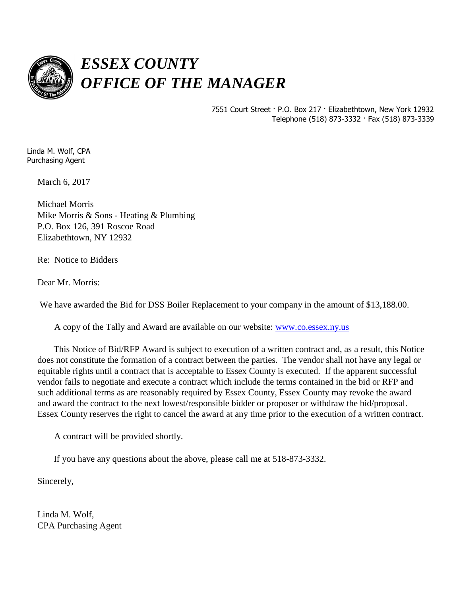

7551 Court Street · P.O. Box 217 · Elizabethtown, New York 12932 Telephone (518) 873-3332 · Fax (518) 873-3339

Linda M. Wolf, CPA Purchasing Agent

March 6, 2017

Michael Morris Mike Morris & Sons - Heating & Plumbing P.O. Box 126, 391 Roscoe Road Elizabethtown, NY 12932

Re: Notice to Bidders

Dear Mr. Morris:

We have awarded the Bid for DSS Boiler Replacement to your company in the amount of \$13,188.00.

A copy of the Tally and Award are available on our website: [www.co.essex.ny.us](http://www.co.essex.ny.us/)

This Notice of Bid/RFP Award is subject to execution of a written contract and, as a result, this Notice does not constitute the formation of a contract between the parties. The vendor shall not have any legal or equitable rights until a contract that is acceptable to Essex County is executed. If the apparent successful vendor fails to negotiate and execute a contract which include the terms contained in the bid or RFP and such additional terms as are reasonably required by Essex County, Essex County may revoke the award and award the contract to the next lowest/responsible bidder or proposer or withdraw the bid/proposal. Essex County reserves the right to cancel the award at any time prior to the execution of a written contract.

A contract will be provided shortly.

If you have any questions about the above, please call me at 518-873-3332.

Sincerely,

Linda M. Wolf, CPA Purchasing Agent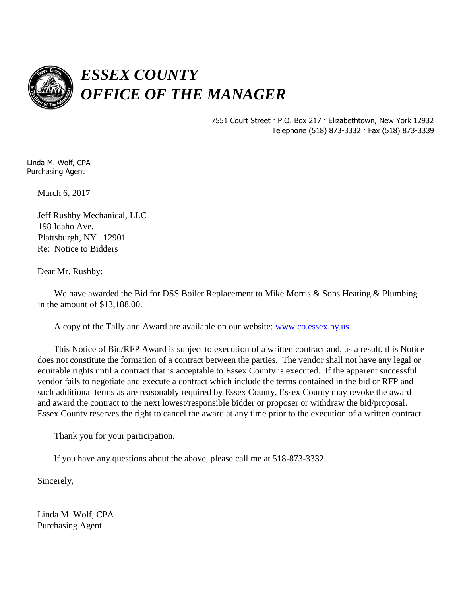

7551 Court Street · P.O. Box 217 · Elizabethtown, New York 12932 Telephone (518) 873-3332 · Fax (518) 873-3339

Linda M. Wolf, CPA Purchasing Agent

March 6, 2017

Jeff Rushby Mechanical, LLC 198 Idaho Ave. Plattsburgh, NY 12901 Re: Notice to Bidders

Dear Mr. Rushby:

We have awarded the Bid for DSS Boiler Replacement to Mike Morris & Sons Heating & Plumbing in the amount of \$13,188.00.

A copy of the Tally and Award are available on our website: [www.co.essex.ny.us](http://www.co.essex.ny.us/)

This Notice of Bid/RFP Award is subject to execution of a written contract and, as a result, this Notice does not constitute the formation of a contract between the parties. The vendor shall not have any legal or equitable rights until a contract that is acceptable to Essex County is executed. If the apparent successful vendor fails to negotiate and execute a contract which include the terms contained in the bid or RFP and such additional terms as are reasonably required by Essex County, Essex County may revoke the award and award the contract to the next lowest/responsible bidder or proposer or withdraw the bid/proposal. Essex County reserves the right to cancel the award at any time prior to the execution of a written contract.

Thank you for your participation.

If you have any questions about the above, please call me at 518-873-3332.

Sincerely,

Linda M. Wolf, CPA Purchasing Agent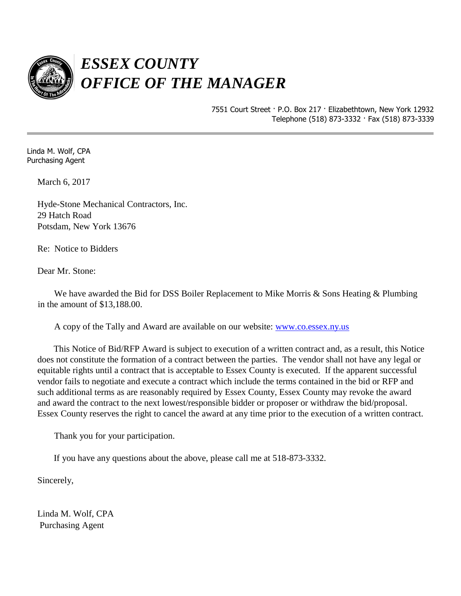

7551 Court Street · P.O. Box 217 · Elizabethtown, New York 12932 Telephone (518) 873-3332 · Fax (518) 873-3339

Linda M. Wolf, CPA Purchasing Agent

March 6, 2017

Hyde-Stone Mechanical Contractors, Inc. 29 Hatch Road Potsdam, New York 13676

Re: Notice to Bidders

Dear Mr. Stone:

We have awarded the Bid for DSS Boiler Replacement to Mike Morris & Sons Heating & Plumbing in the amount of \$13,188.00.

A copy of the Tally and Award are available on our website: [www.co.essex.ny.us](http://www.co.essex.ny.us/)

This Notice of Bid/RFP Award is subject to execution of a written contract and, as a result, this Notice does not constitute the formation of a contract between the parties. The vendor shall not have any legal or equitable rights until a contract that is acceptable to Essex County is executed. If the apparent successful vendor fails to negotiate and execute a contract which include the terms contained in the bid or RFP and such additional terms as are reasonably required by Essex County, Essex County may revoke the award and award the contract to the next lowest/responsible bidder or proposer or withdraw the bid/proposal. Essex County reserves the right to cancel the award at any time prior to the execution of a written contract.

Thank you for your participation.

If you have any questions about the above, please call me at 518-873-3332.

Sincerely,

Linda M. Wolf, CPA Purchasing Agent